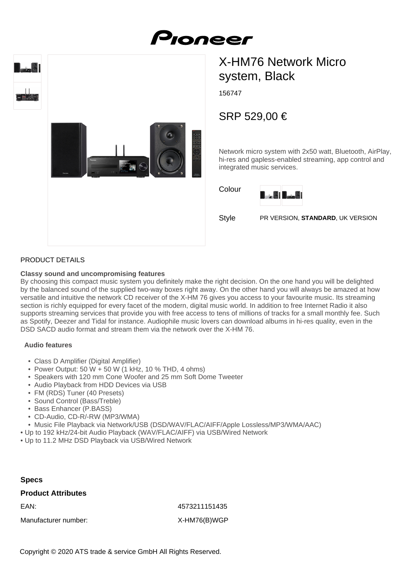



# X-HM76 Network Micro system, Black

156747

Pioneer

## SRP 529,00 €

Network micro system with 2x50 watt, Bluetooth, AirPlay, hi-res and gapless-enabled streaming, app control and integrated music services.





Style PR VERSION, **STANDARD**, UK VERSION

#### PRODUCT DETAILS

#### **Classy sound and uncompromising features**

By choosing this compact music system you definitely make the right decision. On the one hand you will be delighted by the balanced sound of the supplied two-way boxes right away. On the other hand you will always be amazed at how versatile and intuitive the network CD receiver of the X-HM 76 gives you access to your favourite music. Its streaming section is richly equipped for every facet of the modern, digital music world. In addition to free Internet Radio it also supports streaming services that provide you with free access to tens of millions of tracks for a small monthly fee. Such as Spotify, Deezer and Tidal for instance. Audiophile music lovers can download albums in hi-res quality, even in the DSD SACD audio format and stream them via the network over the X-HM 76.

#### **Audio features**

- Class D Amplifier (Digital Amplifier)
- Power Output: 50 W + 50 W (1 kHz, 10 % THD, 4 ohms)
- Speakers with 120 mm Cone Woofer and 25 mm Soft Dome Tweeter
- Audio Playback from HDD Devices via USB
- FM (RDS) Tuner (40 Presets)
- Sound Control (Bass/Treble)
- Bass Enhancer (P.BASS)
- CD-Audio, CD-R/-RW (MP3/WMA)
- Music File Playback via Network/USB (DSD/WAV/FLAC/AIFF/Apple Lossless/MP3/WMA/AAC)
- Up to 192 kHz/24-bit Audio Playback (WAV/FLAC/AIFF) via USB/Wired Network
- Up to 11.2 MHz DSD Playback via USB/Wired Network

#### **Specs**

#### **Product Attributes**

Manufacturer number: X-HM76(B)WGP

EAN: 4573211151435

Copyright © 2020 ATS trade & service GmbH All Rights Reserved.